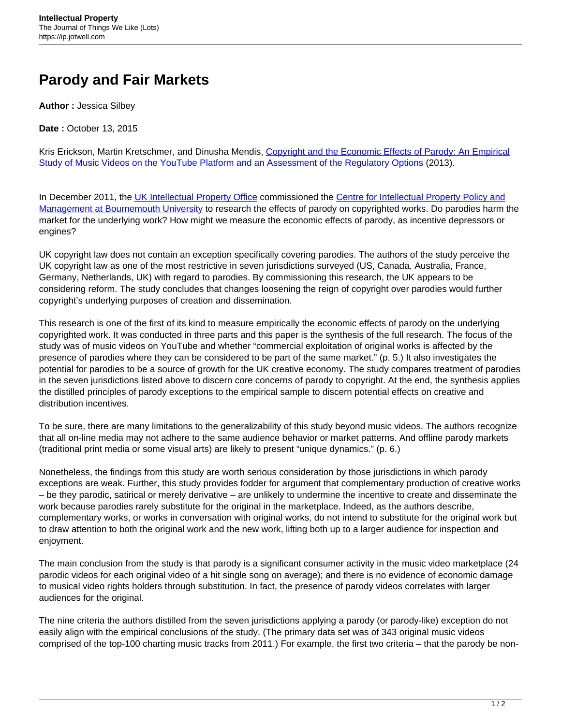## **Parody and Fair Markets**

**Author :** Jessica Silbey

**Date :** October 13, 2015

Kris Erickson, Martin Kretschmer, and Dinusha Mendis, [Copyright and the Economic Effects of Parody: An Empirical](https://www.gov.uk/government/uploads/system/uploads/attachment_data/file/309903/ipresearch-parody-report3-150313.pdf) [Study of Music Videos on the YouTube Platform and an Assessment of the Regulatory Options](https://www.gov.uk/government/uploads/system/uploads/attachment_data/file/309903/ipresearch-parody-report3-150313.pdf) (2013).

In December 2011, the [UK Intellectual Property Office](https://www.gov.uk/government/organisations/intellectual-property-office) commissioned the [Centre for Intellectual Property Policy and](https://microsites.bournemouth.ac.uk/cippm/) [Management at Bournemouth University](https://microsites.bournemouth.ac.uk/cippm/) to research the effects of parody on copyrighted works. Do parodies harm the market for the underlying work? How might we measure the economic effects of parody, as incentive depressors or engines?

UK copyright law does not contain an exception specifically covering parodies. The authors of the study perceive the UK copyright law as one of the most restrictive in seven jurisdictions surveyed (US, Canada, Australia, France, Germany, Netherlands, UK) with regard to parodies. By commissioning this research, the UK appears to be considering reform. The study concludes that changes loosening the reign of copyright over parodies would further copyright's underlying purposes of creation and dissemination.

This research is one of the first of its kind to measure empirically the economic effects of parody on the underlying copyrighted work. It was conducted in three parts and this paper is the synthesis of the full research. The focus of the study was of music videos on YouTube and whether "commercial exploitation of original works is affected by the presence of parodies where they can be considered to be part of the same market." (p. 5.) It also investigates the potential for parodies to be a source of growth for the UK creative economy. The study compares treatment of parodies in the seven jurisdictions listed above to discern core concerns of parody to copyright. At the end, the synthesis applies the distilled principles of parody exceptions to the empirical sample to discern potential effects on creative and distribution incentives.

To be sure, there are many limitations to the generalizability of this study beyond music videos. The authors recognize that all on-line media may not adhere to the same audience behavior or market patterns. And offline parody markets (traditional print media or some visual arts) are likely to present "unique dynamics." (p. 6.)

Nonetheless, the findings from this study are worth serious consideration by those jurisdictions in which parody exceptions are weak. Further, this study provides fodder for argument that complementary production of creative works – be they parodic, satirical or merely derivative – are unlikely to undermine the incentive to create and disseminate the work because parodies rarely substitute for the original in the marketplace. Indeed, as the authors describe, complementary works, or works in conversation with original works, do not intend to substitute for the original work but to draw attention to both the original work and the new work, lifting both up to a larger audience for inspection and enjoyment.

The main conclusion from the study is that parody is a significant consumer activity in the music video marketplace (24 parodic videos for each original video of a hit single song on average); and there is no evidence of economic damage to musical video rights holders through substitution. In fact, the presence of parody videos correlates with larger audiences for the original.

The nine criteria the authors distilled from the seven jurisdictions applying a parody (or parody-like) exception do not easily align with the empirical conclusions of the study. (The primary data set was of 343 original music videos comprised of the top-100 charting music tracks from 2011.) For example, the first two criteria – that the parody be non-